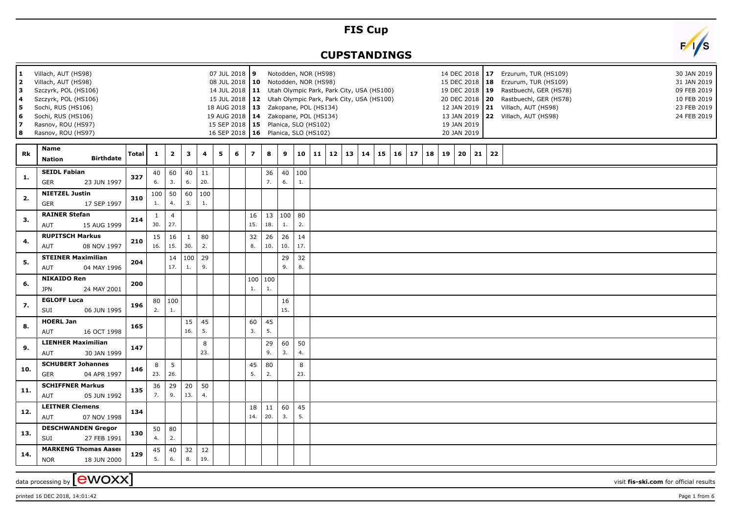## **FIS Cup**

## **CUPSTANDINGS**



| 1<br>2<br>3<br>l 4<br>5<br>6<br>17<br>8 | Villach, AUT (HS98)<br>Villach, AUT (HS98)<br>Szczyrk, POL (HS106)<br>Szczyrk, POL (HS106)<br>Sochi, RUS (HS106)<br>Sochi, RUS (HS106)<br>Rasnov, ROU (HS97)<br>Rasnov, ROU (HS97) |                  |              |                     |                       |                     |                       |   | 07 JUL 2018 9<br>08 JUL 2018   10 Notodden, NOR (HS98)<br>18 AUG 2018   13 Zakopane, POL (HS134)<br>19 AUG 2018   14 Zakopane, POL (HS134)<br>15 SEP 2018   15 Planica, SLO (HS102)<br>16 SEP 2018   16 Planica, SLO (HS102) |                         |               | Notodden, NOR (HS98) |           |    | 14 JUL 2018   11 Utah Olympic Park, Park City, USA (HS100)<br>15 JUL 2018   12 Utah Olympic Park, Park City, USA (HS100) |    |    |    |    |    |    |    | 19 JAN 2019<br>20 JAN 2019 |    |    | 14 DEC 2018   17 Erzurum, TUR (HS109)<br>30 JAN 2019<br>15 DEC 2018   18 Erzurum, TUR (HS109)<br>31 JAN 2019<br>19 DEC 2018   19 Rastbuechl, GER (HS78)<br>09 FEB 2019<br>20 DEC 2018   20 Rastbuechl, GER (HS78)<br>10 FEB 2019<br>12 JAN 2019   21 Villach, AUT (HS98)<br>23 FEB 2019<br>13 JAN 2019 22 Villach, AUT (HS98)<br>24 FEB 2019 |
|-----------------------------------------|------------------------------------------------------------------------------------------------------------------------------------------------------------------------------------|------------------|--------------|---------------------|-----------------------|---------------------|-----------------------|---|------------------------------------------------------------------------------------------------------------------------------------------------------------------------------------------------------------------------------|-------------------------|---------------|----------------------|-----------|----|--------------------------------------------------------------------------------------------------------------------------|----|----|----|----|----|----|----|----------------------------|----|----|----------------------------------------------------------------------------------------------------------------------------------------------------------------------------------------------------------------------------------------------------------------------------------------------------------------------------------------------|
| Rk                                      | <b>Name</b><br><b>Nation</b>                                                                                                                                                       | <b>Birthdate</b> | <b>Total</b> | $\mathbf{1}$        | $\overline{2}$        | 3                   | 4                     | 5 | 6                                                                                                                                                                                                                            | $\overline{\mathbf{z}}$ | 8             | 9                    | 10        | 11 | 12                                                                                                                       | 13 | 14 | 15 | 16 | 17 | 18 | 19 | 20                         | 21 | 22 |                                                                                                                                                                                                                                                                                                                                              |
| 1.                                      | <b>SEIDL Fabian</b><br>GER                                                                                                                                                         | 23 JUN 1997      | 327          | 40<br>6.            | 60<br>3.              | 40<br>6.            | 11<br>20.             |   |                                                                                                                                                                                                                              |                         | 36<br>7.      | 40<br>6.             | 100<br>1. |    |                                                                                                                          |    |    |    |    |    |    |    |                            |    |    |                                                                                                                                                                                                                                                                                                                                              |
| 2.                                      | <b>NIETZEL Justin</b><br><b>GER</b>                                                                                                                                                | 17 SEP 1997      | 310          | 100<br>1.           | 50<br>4.              | 60<br>3.            | 100<br>$\mathbf{1}$ . |   |                                                                                                                                                                                                                              |                         |               |                      |           |    |                                                                                                                          |    |    |    |    |    |    |    |                            |    |    |                                                                                                                                                                                                                                                                                                                                              |
| 3.                                      | <b>RAINER Stefan</b><br>AUT                                                                                                                                                        | 15 AUG 1999      | 214          | $\mathbf{1}$<br>30. | $\overline{4}$<br>27. |                     |                       |   |                                                                                                                                                                                                                              | 16<br>15.               | 13<br>18.     | 100   80<br>1.       | 2.        |    |                                                                                                                          |    |    |    |    |    |    |    |                            |    |    |                                                                                                                                                                                                                                                                                                                                              |
| 4.                                      | <b>RUPITSCH Markus</b><br>AUT                                                                                                                                                      | 08 NOV 1997      | 210          | 15<br>16.           | 16<br>15.             | $\mathbf{1}$<br>30. | 80<br>2.              |   |                                                                                                                                                                                                                              | 32<br>8.                | 26<br>10.     | 26<br>10.            | 14<br>17. |    |                                                                                                                          |    |    |    |    |    |    |    |                            |    |    |                                                                                                                                                                                                                                                                                                                                              |
| 5.                                      | <b>STEINER Maximilian</b><br>AUT                                                                                                                                                   | 04 MAY 1996      | 204          |                     | 14<br>17.             | 100<br>1.           | 29<br>9.              |   |                                                                                                                                                                                                                              |                         |               | 29<br>9.             | 32<br>8.  |    |                                                                                                                          |    |    |    |    |    |    |    |                            |    |    |                                                                                                                                                                                                                                                                                                                                              |
| 6.                                      | <b>NIKAIDO Ren</b><br><b>JPN</b>                                                                                                                                                   | 24 MAY 2001      | 200          |                     |                       |                     |                       |   |                                                                                                                                                                                                                              | 1.                      | 100 100<br>1. |                      |           |    |                                                                                                                          |    |    |    |    |    |    |    |                            |    |    |                                                                                                                                                                                                                                                                                                                                              |
| 7.                                      | <b>EGLOFF Luca</b><br>SUI                                                                                                                                                          | 06 JUN 1995      | 196          | 2.                  | 80   100<br>1.        |                     |                       |   |                                                                                                                                                                                                                              |                         |               | 16<br>15.            |           |    |                                                                                                                          |    |    |    |    |    |    |    |                            |    |    |                                                                                                                                                                                                                                                                                                                                              |
| 8.                                      | <b>HOERL Jan</b><br>AUT                                                                                                                                                            | 16 OCT 1998      | 165          |                     |                       | 15<br>16.           | 45<br>5.              |   |                                                                                                                                                                                                                              | 60<br>3.                | 45<br>5.      |                      |           |    |                                                                                                                          |    |    |    |    |    |    |    |                            |    |    |                                                                                                                                                                                                                                                                                                                                              |
| 9.                                      | <b>LIENHER Maximilian</b><br>AUT                                                                                                                                                   | 30 JAN 1999      | 147          |                     |                       |                     | 8<br>23.              |   |                                                                                                                                                                                                                              |                         | 29<br>9.      | 60<br>3.             | 50<br>4.  |    |                                                                                                                          |    |    |    |    |    |    |    |                            |    |    |                                                                                                                                                                                                                                                                                                                                              |
| 10.                                     | <b>SCHUBERT Johannes</b><br><b>GER</b>                                                                                                                                             | 04 APR 1997      | 146          | 8<br>23.            | 5<br>26.              |                     |                       |   |                                                                                                                                                                                                                              | 45<br>5.                | 80<br>2.      |                      | 8<br>23.  |    |                                                                                                                          |    |    |    |    |    |    |    |                            |    |    |                                                                                                                                                                                                                                                                                                                                              |
| 11.                                     | <b>SCHIFFNER Markus</b><br>AUT                                                                                                                                                     | 05 JUN 1992      | 135          | 36<br>7.            | 29<br>9.              | 20<br>13.           | 50<br>4.              |   |                                                                                                                                                                                                                              |                         |               |                      |           |    |                                                                                                                          |    |    |    |    |    |    |    |                            |    |    |                                                                                                                                                                                                                                                                                                                                              |
| 12.                                     | <b>LEITNER Clemens</b><br>AUT                                                                                                                                                      | 07 NOV 1998      | 134          |                     |                       |                     |                       |   |                                                                                                                                                                                                                              | 18<br>14.               | 11<br>20.     | 60<br>3.             | 45<br>5.  |    |                                                                                                                          |    |    |    |    |    |    |    |                            |    |    |                                                                                                                                                                                                                                                                                                                                              |
| 13.                                     | <b>DESCHWANDEN Gregor</b><br>SUI                                                                                                                                                   | 27 FEB 1991      | 130          | 50<br>4.            | 80<br>2.              |                     |                       |   |                                                                                                                                                                                                                              |                         |               |                      |           |    |                                                                                                                          |    |    |    |    |    |    |    |                            |    |    |                                                                                                                                                                                                                                                                                                                                              |
| 14.                                     | <b>MARKENG Thomas Aaser</b><br><b>NOR</b>                                                                                                                                          | 18 JUN 2000      | 129          | 45<br>5.            | 40<br>6.              | 32<br>8.            | $12$<br>19.           |   |                                                                                                                                                                                                                              |                         |               |                      |           |    |                                                                                                                          |    |    |    |    |    |    |    |                            |    |    |                                                                                                                                                                                                                                                                                                                                              |
|                                         | data processing by <b>[eWOXX]</b>                                                                                                                                                  |                  |              |                     |                       |                     |                       |   |                                                                                                                                                                                                                              |                         |               |                      |           |    |                                                                                                                          |    |    |    |    |    |    |    |                            |    |    | visit fis-ski.com for official results                                                                                                                                                                                                                                                                                                       |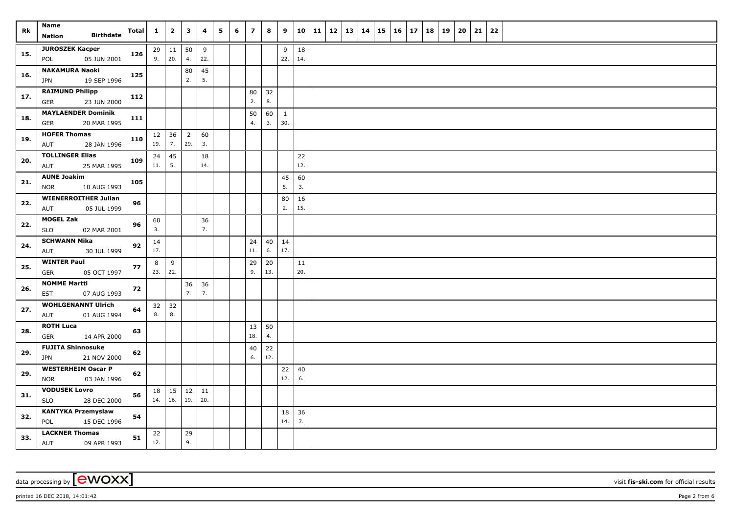| Rk  | Name<br><b>Birthdate</b><br><b>Nation</b>              | Total | $\mathbf{1}$ | $\overline{\mathbf{2}}$   | 3                     | 4         | 5 | 6 | $\overline{z}$ | 8         | 9                   |               | 10 11 | $12 \mid 13$ | 14 | 15 | 16 | 17 | 18 | 19 | 20 | 21 | 22 |  |
|-----|--------------------------------------------------------|-------|--------------|---------------------------|-----------------------|-----------|---|---|----------------|-----------|---------------------|---------------|-------|--------------|----|----|----|----|----|----|----|----|----|--|
| 15. | <b>JUROSZEK Kacper</b><br>05 JUN 2001<br>POL           | 126   | 9.           | $29 \mid 11$<br> 20.      | 50<br>4.              | 9<br>22.  |   |   |                |           | 9<br>22.            | 18<br>14.     |       |              |    |    |    |    |    |    |    |    |    |  |
| 16. | <b>NAKAMURA Naoki</b><br>19 SEP 1996<br><b>JPN</b>     | 125   |              |                           | 80<br>2.              | 45<br>5.  |   |   |                |           |                     |               |       |              |    |    |    |    |    |    |    |    |    |  |
| 17. | <b>RAIMUND Philipp</b><br>23 JUN 2000<br>GER           | 112   |              |                           |                       |           |   |   | 80<br>2.       | 32<br>8.  |                     |               |       |              |    |    |    |    |    |    |    |    |    |  |
| 18. | <b>MAYLAENDER Dominik</b><br>20 MAR 1995<br>GER        | 111   |              |                           |                       |           |   |   | 50<br>4.       | 60<br>3.  | $\mathbf{1}$<br>30. |               |       |              |    |    |    |    |    |    |    |    |    |  |
| 19. | <b>HOFER Thomas</b><br>28 JAN 1996<br>AUT              | 110   | 12<br>19.    | 36<br>7.                  | $\overline{2}$<br>29. | 60<br>3.  |   |   |                |           |                     |               |       |              |    |    |    |    |    |    |    |    |    |  |
| 20. | <b>TOLLINGER Elias</b><br>25 MAR 1995<br>AUT           | 109   | 24<br>11.    | 45<br>5.                  |                       | 18<br>14. |   |   |                |           |                     | 22<br>12.     |       |              |    |    |    |    |    |    |    |    |    |  |
| 21. | <b>AUNE Joakim</b><br><b>NOR</b><br>10 AUG 1993        | 105   |              |                           |                       |           |   |   |                |           | 45<br>5.            | 60<br>3.      |       |              |    |    |    |    |    |    |    |    |    |  |
| 22. | <b>WIENERROITHER Julian</b><br>AUT<br>05 JUL 1999      | 96    |              |                           |                       |           |   |   |                |           | 80<br>2.            | $16\,$<br>15. |       |              |    |    |    |    |    |    |    |    |    |  |
| 22. | <b>MOGEL Zak</b><br><b>SLO</b><br>02 MAR 2001          | 96    | 60<br>3.     |                           |                       | 36<br>7.  |   |   |                |           |                     |               |       |              |    |    |    |    |    |    |    |    |    |  |
| 24. | <b>SCHWANN Mika</b><br>AUT<br>30 JUL 1999              | 92    | 14<br>17.    |                           |                       |           |   |   | 24<br>11.      | 40<br>6.  | 14<br>17.           |               |       |              |    |    |    |    |    |    |    |    |    |  |
| 25. | <b>WINTER Paul</b><br>05 OCT 1997<br>GER               | 77    | 8<br>23.     | 9<br>22.                  |                       |           |   |   | 29<br>9.       | 20<br>13. |                     | 11<br>20.     |       |              |    |    |    |    |    |    |    |    |    |  |
| 26. | <b>NOMME Martti</b><br>07 AUG 1993<br><b>EST</b>       | 72    |              |                           | 36<br>7.              | 36<br>7.  |   |   |                |           |                     |               |       |              |    |    |    |    |    |    |    |    |    |  |
| 27. | <b>WOHLGENANNT Ulrich</b><br>01 AUG 1994<br>AUT        | 64    | 8.           | $32 \mid 32$<br>8.        |                       |           |   |   |                |           |                     |               |       |              |    |    |    |    |    |    |    |    |    |  |
| 28. | <b>ROTH Luca</b><br>14 APR 2000<br>GER                 | 63    |              |                           |                       |           |   |   | 13<br>18.      | 50<br>4.  |                     |               |       |              |    |    |    |    |    |    |    |    |    |  |
| 29. | <b>FUJITA Shinnosuke</b><br><b>JPN</b><br>21 NOV 2000  | 62    |              |                           |                       |           |   |   | 40<br>6.       | 22<br>12. |                     |               |       |              |    |    |    |    |    |    |    |    |    |  |
| 29. | <b>WESTERHEIM Oscar P</b><br>03 JAN 1996<br><b>NOR</b> | 62    |              |                           |                       |           |   |   |                |           | $22$<br>12.         | 40<br>6.      |       |              |    |    |    |    |    |    |    |    |    |  |
| 31. | <b>VODUSEK Lovro</b><br><b>SLO</b><br>28 DEC 2000      | 56    | 18<br>14.    | $\vert$ 15<br>$\vert$ 16. | 12<br>19.             | 11<br>20. |   |   |                |           |                     |               |       |              |    |    |    |    |    |    |    |    |    |  |
| 32. | <b>KANTYKA Przemyslaw</b><br>POL<br>15 DEC 1996        | 54    |              |                           |                       |           |   |   |                |           | 18<br>14.           | 36<br>7.      |       |              |    |    |    |    |    |    |    |    |    |  |
| 33. | <b>LACKNER Thomas</b><br>AUT<br>09 APR 1993            | 51    | 22<br>12.    |                           | 29<br>9.              |           |   |   |                |           |                     |               |       |              |    |    |    |    |    |    |    |    |    |  |

data processing by **CWOXX** visit **fis-ski.com** for official results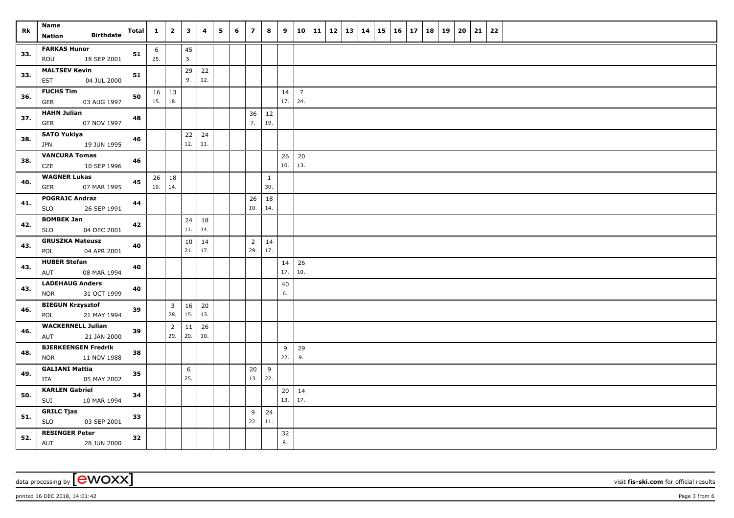| Rk  | Name<br><b>Birthdate</b><br>Nation                  | <b>Total</b> | $\mathbf{1}$ | $\overline{2}$                 | $\mathbf{3}$ | 4         | 5 | 6 | $\overline{z}$        | 8                   | 9         |                       | 10 11 | $12 \mid 13 \mid$ | 14 | 15 | $16 \mid 17$ | 18 | 19 | 20 | 21 | 22 |  |
|-----|-----------------------------------------------------|--------------|--------------|--------------------------------|--------------|-----------|---|---|-----------------------|---------------------|-----------|-----------------------|-------|-------------------|----|----|--------------|----|----|----|----|----|--|
| 33. | <b>FARKAS Hunor</b>                                 | 51           | 6            |                                | 45           |           |   |   |                       |                     |           |                       |       |                   |    |    |              |    |    |    |    |    |  |
|     | 18 SEP 2001<br>ROU                                  |              | 25.          |                                | 5.           |           |   |   |                       |                     |           |                       |       |                   |    |    |              |    |    |    |    |    |  |
| 33. | <b>MALTSEV Kevin</b><br><b>EST</b><br>04 JUL 2000   | 51           |              |                                | 29<br>9.     | 22<br>12. |   |   |                       |                     |           |                       |       |                   |    |    |              |    |    |    |    |    |  |
| 36. | <b>FUCHS Tim</b><br>03 AUG 1997<br><b>GER</b>       | 50           | 15.          | $16 \mid 13$<br>18.            |              |           |   |   |                       |                     | 14<br>17. | $\overline{7}$<br>24. |       |                   |    |    |              |    |    |    |    |    |  |
| 37. | <b>HAHN Julian</b><br><b>GER</b><br>07 NOV 1997     | 48           |              |                                |              |           |   |   | 36<br>7.              | 12<br>19.           |           |                       |       |                   |    |    |              |    |    |    |    |    |  |
| 38. | <b>SATO Yukiya</b><br>19 JUN 1995<br>JPN            | 46           |              |                                | $22$<br>12.  | 24<br>11. |   |   |                       |                     |           |                       |       |                   |    |    |              |    |    |    |    |    |  |
| 38. | <b>VANCURA Tomas</b><br>CZE<br>10 SEP 1996          | 46           |              |                                |              |           |   |   |                       |                     | 26<br>10. | 20<br>13.             |       |                   |    |    |              |    |    |    |    |    |  |
| 40. | <b>WAGNER Lukas</b><br>07 MAR 1995<br><b>GER</b>    | 45           |              | $26 \mid 18$<br>10.   14.      |              |           |   |   |                       | $\mathbf{1}$<br>30. |           |                       |       |                   |    |    |              |    |    |    |    |    |  |
| 41. | <b>POGRAJC Andraz</b><br>26 SEP 1991<br><b>SLO</b>  | 44           |              |                                |              |           |   |   | 26<br>10.             | 18<br>14.           |           |                       |       |                   |    |    |              |    |    |    |    |    |  |
| 42. | <b>BOMBEK Jan</b><br>SLO<br>04 DEC 2001             | 42           |              |                                | 24<br>11.    | 18<br>14. |   |   |                       |                     |           |                       |       |                   |    |    |              |    |    |    |    |    |  |
| 43. | <b>GRUSZKA Mateusz</b><br>POL<br>04 APR 2001        | 40           |              |                                | 10<br>21.    | 14<br>17. |   |   | $\overline{2}$<br>29. | 14<br>17.           |           |                       |       |                   |    |    |              |    |    |    |    |    |  |
| 43. | <b>HUBER Stefan</b><br>AUT<br>08 MAR 1994           | 40           |              |                                |              |           |   |   |                       |                     | 14<br>17. | 26<br>10.             |       |                   |    |    |              |    |    |    |    |    |  |
| 43. | <b>LADEHAUG Anders</b><br>31 OCT 1999<br><b>NOR</b> | 40           |              |                                |              |           |   |   |                       |                     | 40<br>6.  |                       |       |                   |    |    |              |    |    |    |    |    |  |
| 46. | <b>BIEGUN Krzysztof</b><br>21 MAY 1994<br>POL       | 39           |              | $\overline{\mathbf{3}}$<br>28. | 16<br>15.    | 20<br>13. |   |   |                       |                     |           |                       |       |                   |    |    |              |    |    |    |    |    |  |
| 46. | <b>WACKERNELL Julian</b><br>21 JAN 2000<br>AUT      | 39           |              | $\overline{2}$<br>29.          | 11<br>20.    | 26<br>10. |   |   |                       |                     |           |                       |       |                   |    |    |              |    |    |    |    |    |  |
| 48. | <b>BJERKEENGEN Fredrik</b><br>NOR<br>11 NOV 1988    | 38           |              |                                |              |           |   |   |                       |                     | 9<br>22.  | 29<br>9.              |       |                   |    |    |              |    |    |    |    |    |  |
| 49. | <b>GALIANI Mattia</b><br>05 MAY 2002<br>ITA         | 35           |              |                                | 6<br>25.     |           |   |   | 20<br>13.             | 9<br>22.            |           |                       |       |                   |    |    |              |    |    |    |    |    |  |
| 50. | <b>KARLEN Gabriel</b><br>SUI<br>10 MAR 1994         | 34           |              |                                |              |           |   |   |                       |                     | 20<br>13. | 14<br>17.             |       |                   |    |    |              |    |    |    |    |    |  |
| 51. | <b>GRILC Tjas</b><br><b>SLO</b><br>03 SEP 2001      | 33           |              |                                |              |           |   |   | 9<br>22.              | 24<br>11.           |           |                       |       |                   |    |    |              |    |    |    |    |    |  |
| 52. | <b>RESINGER Peter</b><br><b>AUT</b><br>28 JUN 2000  | 32           |              |                                |              |           |   |   |                       |                     | 32<br>8.  |                       |       |                   |    |    |              |    |    |    |    |    |  |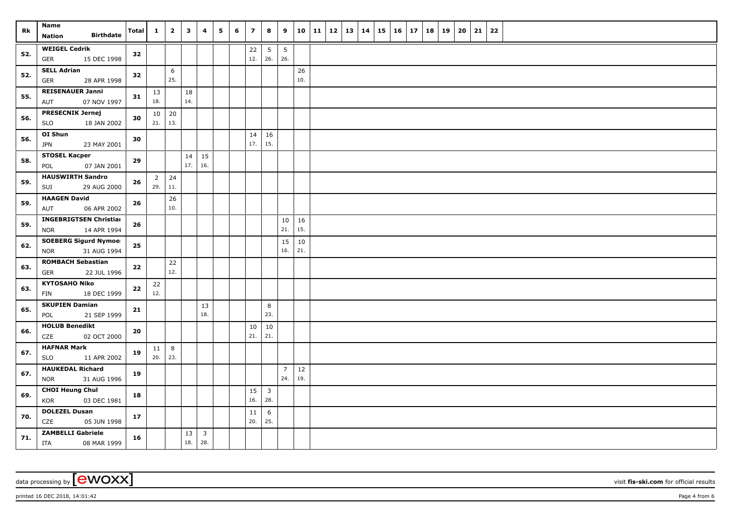| Rk  | Name<br><b>Birthdate</b><br><b>Nation</b>                  | Total      | $\mathbf{1}$           | $\overline{2}$         | $\mathbf{3}$ | 4                              | 5 | 6 | $\overline{z}$ | 8                      | 9                      | 10            | 11 | <b>12</b> | 13 | 14 | $15 \mid 16$ | 17 | 18 | 19 | 20 | 21 | 22 |  |
|-----|------------------------------------------------------------|------------|------------------------|------------------------|--------------|--------------------------------|---|---|----------------|------------------------|------------------------|---------------|----|-----------|----|----|--------------|----|----|----|----|----|----|--|
| 52. | <b>WEIGEL Cedrik</b><br><b>GER</b><br>15 DEC 1998          | 32         |                        |                        |              |                                |   |   | 22<br>12.      | $5\phantom{.0}$<br>26. | $5\phantom{.0}$<br>26. |               |    |           |    |    |              |    |    |    |    |    |    |  |
| 52. | <b>SELL Adrian</b><br>${\sf GER}$<br>28 APR 1998           | 32         |                        | $6\phantom{.}6$<br>25. |              |                                |   |   |                |                        |                        | 26<br>10.     |    |           |    |    |              |    |    |    |    |    |    |  |
| 55. | <b>REISENAUER Janni</b><br>07 NOV 1997<br>AUT              | 31         | 13<br>18.              |                        | 18<br>14.    |                                |   |   |                |                        |                        |               |    |           |    |    |              |    |    |    |    |    |    |  |
| 56. | <b>PRESECNIK Jernej</b><br><b>SLO</b><br>18 JAN 2002       | 30         | 10 <sup>1</sup><br>21. | 20<br>13.              |              |                                |   |   |                |                        |                        |               |    |           |    |    |              |    |    |    |    |    |    |  |
| 56. | OI Shun<br>23 MAY 2001<br><b>JPN</b>                       | 30         |                        |                        |              |                                |   |   | 14<br>17.      | 16<br>15.              |                        |               |    |           |    |    |              |    |    |    |    |    |    |  |
| 58. | <b>STOSEL Kacper</b><br>07 JAN 2001<br>POL                 | 29         |                        |                        | 14<br>17.    | 15<br>16.                      |   |   |                |                        |                        |               |    |           |    |    |              |    |    |    |    |    |    |  |
| 59. | <b>HAUSWIRTH Sandro</b><br>SUI<br>29 AUG 2000              | 26         | $\overline{2}$<br>29.  | 24<br>11.              |              |                                |   |   |                |                        |                        |               |    |           |    |    |              |    |    |    |    |    |    |  |
| 59. | <b>HAAGEN David</b><br>06 APR 2002<br>AUT                  | 26         |                        | 26<br>10.              |              |                                |   |   |                |                        |                        |               |    |           |    |    |              |    |    |    |    |    |    |  |
| 59. | <b>INGEBRIGTSEN Christian</b><br>14 APR 1994<br><b>NOR</b> | ${\bf 26}$ |                        |                        |              |                                |   |   |                |                        | $10\,$<br>21.          | 16<br>15.     |    |           |    |    |              |    |    |    |    |    |    |  |
| 62. | <b>SOEBERG Sigurd Nymoel</b><br><b>NOR</b><br>31 AUG 1994  | 25         |                        |                        |              |                                |   |   |                |                        | 15<br>16.              | $10\,$<br>21. |    |           |    |    |              |    |    |    |    |    |    |  |
| 63. | <b>ROMBACH Sebastian</b><br><b>GER</b><br>22 JUL 1996      | 22         |                        | 22<br>12.              |              |                                |   |   |                |                        |                        |               |    |           |    |    |              |    |    |    |    |    |    |  |
| 63. | <b>KYTOSAHO Niko</b><br><b>FIN</b><br>18 DEC 1999          | ${\bf 22}$ | 22<br>12.              |                        |              |                                |   |   |                |                        |                        |               |    |           |    |    |              |    |    |    |    |    |    |  |
| 65. | <b>SKUPIEN Damian</b><br>21 SEP 1999<br>POL                | 21         |                        |                        |              | 13<br>18.                      |   |   |                | 8<br>23.               |                        |               |    |           |    |    |              |    |    |    |    |    |    |  |
| 66. | <b>HOLUB Benedikt</b><br>CZE<br>02 OCT 2000                | 20         |                        |                        |              |                                |   |   | $10\,$<br>21.  | 10<br>21.              |                        |               |    |           |    |    |              |    |    |    |    |    |    |  |
| 67. | <b>HAFNAR Mark</b><br>11 APR 2002<br><b>SLO</b>            | 19         | 11<br>20.              | $8\phantom{1}$<br>23.  |              |                                |   |   |                |                        |                        |               |    |           |    |    |              |    |    |    |    |    |    |  |
| 67. | <b>HAUKEDAL Richard</b><br><b>NOR</b><br>31 AUG 1996       | 19         |                        |                        |              |                                |   |   |                |                        | $\overline{7}$<br>24.  | 12<br>19.     |    |           |    |    |              |    |    |    |    |    |    |  |
| 69. | <b>CHOI Heung Chul</b><br><b>KOR</b><br>03 DEC 1981        | 18         |                        |                        |              |                                |   |   | 15<br>16.      | $\overline{3}$<br>28.  |                        |               |    |           |    |    |              |    |    |    |    |    |    |  |
| 70. | <b>DOLEZEL Dusan</b><br>CZE<br>05 JUN 1998                 | 17         |                        |                        |              |                                |   |   | 11<br>20.      | 6<br>25.               |                        |               |    |           |    |    |              |    |    |    |    |    |    |  |
| 71. | <b>ZAMBELLI Gabriele</b><br>08 MAR 1999<br>ITA             | 16         |                        |                        | 13<br>18.    | $\overline{\mathbf{3}}$<br>28. |   |   |                |                        |                        |               |    |           |    |    |              |    |    |    |    |    |    |  |

data processing by **CWOXX** visit **fis-ski.com** for official results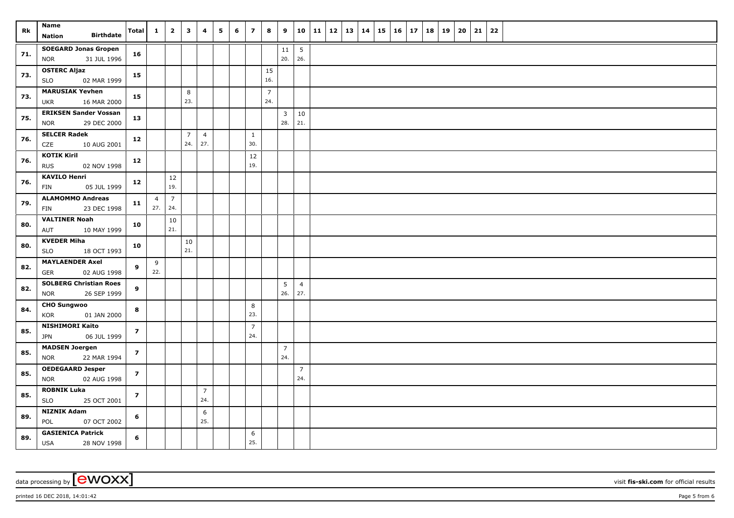| Rk  | <b>Name</b>                                                | Total                    | $\mathbf{1}$   | $\overline{2}$ | $\mathbf{3}$   | 4              | 5 | 6 | $\overline{z}$ | 8                     | 9                      |                       | 10   11   12   13   14 |  | 15 | $16 \mid 17$ | 18 | 19 | 20 | 21 | 22 |  |
|-----|------------------------------------------------------------|--------------------------|----------------|----------------|----------------|----------------|---|---|----------------|-----------------------|------------------------|-----------------------|------------------------|--|----|--------------|----|----|----|----|----|--|
|     | <b>Birthdate</b><br>Nation                                 |                          |                |                |                |                |   |   |                |                       |                        |                       |                        |  |    |              |    |    |    |    |    |  |
| 71. | <b>SOEGARD Jonas Gropen</b>                                | 16                       |                |                |                |                |   |   |                |                       | 11                     | $5\phantom{.0}$       |                        |  |    |              |    |    |    |    |    |  |
|     | 31 JUL 1996<br><b>NOR</b>                                  |                          |                |                |                |                |   |   |                |                       | 20.                    | 26.                   |                        |  |    |              |    |    |    |    |    |  |
| 73. | <b>OSTERC Aljaz</b>                                        | 15                       |                |                |                |                |   |   |                | 15                    |                        |                       |                        |  |    |              |    |    |    |    |    |  |
|     | <b>SLO</b><br>02 MAR 1999                                  |                          |                |                |                |                |   |   |                | 16.                   |                        |                       |                        |  |    |              |    |    |    |    |    |  |
| 73. | <b>MARUSIAK Yevhen</b><br>16 MAR 2000<br><b>UKR</b>        | 15                       |                |                | 8<br>23.       |                |   |   |                | $\overline{7}$<br>24. |                        |                       |                        |  |    |              |    |    |    |    |    |  |
|     | <b>ERIKSEN Sander Vossan</b>                               |                          |                |                |                |                |   |   |                |                       |                        |                       |                        |  |    |              |    |    |    |    |    |  |
| 75. | 29 DEC 2000<br><b>NOR</b>                                  | 13                       |                |                |                |                |   |   |                |                       | $\overline{3}$<br>28.  | 10<br>21.             |                        |  |    |              |    |    |    |    |    |  |
|     | <b>SELCER Radek</b>                                        |                          |                |                | $\overline{7}$ | $\overline{4}$ |   |   | $\mathbf{1}$   |                       |                        |                       |                        |  |    |              |    |    |    |    |    |  |
| 76. | CZE<br>10 AUG 2001                                         | 12                       |                |                | 24.            | 27.            |   |   | 30.            |                       |                        |                       |                        |  |    |              |    |    |    |    |    |  |
|     | <b>KOTIK Kiril</b>                                         |                          |                |                |                |                |   |   | $12\,$         |                       |                        |                       |                        |  |    |              |    |    |    |    |    |  |
| 76. | 02 NOV 1998<br><b>RUS</b>                                  | 12                       |                |                |                |                |   |   | 19.            |                       |                        |                       |                        |  |    |              |    |    |    |    |    |  |
|     | <b>KAVILO Henri</b>                                        |                          |                | 12             |                |                |   |   |                |                       |                        |                       |                        |  |    |              |    |    |    |    |    |  |
| 76. | <b>FIN</b><br>05 JUL 1999                                  | 12                       |                | 19.            |                |                |   |   |                |                       |                        |                       |                        |  |    |              |    |    |    |    |    |  |
| 79. | <b>ALAMOMMO Andreas</b>                                    | 11                       | $\overline{4}$ | $\overline{7}$ |                |                |   |   |                |                       |                        |                       |                        |  |    |              |    |    |    |    |    |  |
|     | 23 DEC 1998<br>FIN                                         |                          | 27.            | 24.            |                |                |   |   |                |                       |                        |                       |                        |  |    |              |    |    |    |    |    |  |
| 80. | <b>VALTINER Noah</b>                                       | 10                       |                | $10\,$         |                |                |   |   |                |                       |                        |                       |                        |  |    |              |    |    |    |    |    |  |
|     | AUT<br>10 MAY 1999                                         |                          |                | 21.            |                |                |   |   |                |                       |                        |                       |                        |  |    |              |    |    |    |    |    |  |
| 80. | <b>KVEDER Miha</b>                                         | 10                       |                |                | 10             |                |   |   |                |                       |                        |                       |                        |  |    |              |    |    |    |    |    |  |
|     | <b>SLO</b><br>18 OCT 1993                                  |                          |                |                | 21.            |                |   |   |                |                       |                        |                       |                        |  |    |              |    |    |    |    |    |  |
| 82. | <b>MAYLAENDER Axel</b>                                     | 9                        | 9              |                |                |                |   |   |                |                       |                        |                       |                        |  |    |              |    |    |    |    |    |  |
|     | GER<br>02 AUG 1998                                         |                          | 22.            |                |                |                |   |   |                |                       |                        |                       |                        |  |    |              |    |    |    |    |    |  |
| 82. | <b>SOLBERG Christian Roes</b><br>26 SEP 1999<br><b>NOR</b> | 9                        |                |                |                |                |   |   |                |                       | $5\overline{)}$<br>26. | $\overline{4}$<br>27. |                        |  |    |              |    |    |    |    |    |  |
|     | <b>CHO Sungwoo</b>                                         |                          |                |                |                |                |   |   |                |                       |                        |                       |                        |  |    |              |    |    |    |    |    |  |
| 84. | KOR<br>01 JAN 2000                                         | 8                        |                |                |                |                |   |   | 8<br>23.       |                       |                        |                       |                        |  |    |              |    |    |    |    |    |  |
|     | <b>NISHIMORI Kaito</b>                                     |                          |                |                |                |                |   |   | $\overline{7}$ |                       |                        |                       |                        |  |    |              |    |    |    |    |    |  |
| 85. | JPN<br>06 JUL 1999                                         | $\overline{\phantom{a}}$ |                |                |                |                |   |   | 24.            |                       |                        |                       |                        |  |    |              |    |    |    |    |    |  |
|     | <b>MADSEN Joergen</b>                                      |                          |                |                |                |                |   |   |                |                       | $\overline{7}$         |                       |                        |  |    |              |    |    |    |    |    |  |
| 85. | 22 MAR 1994<br><b>NOR</b>                                  | $\overline{z}$           |                |                |                |                |   |   |                |                       | 24.                    |                       |                        |  |    |              |    |    |    |    |    |  |
| 85. | <b>OEDEGAARD Jesper</b>                                    | $\overline{z}$           |                |                |                |                |   |   |                |                       |                        | $\overline{7}$        |                        |  |    |              |    |    |    |    |    |  |
|     | 02 AUG 1998<br><b>NOR</b>                                  |                          |                |                |                |                |   |   |                |                       |                        | 24.                   |                        |  |    |              |    |    |    |    |    |  |
| 85. | <b>ROBNIK Luka</b>                                         | $\overline{z}$           |                |                |                | $\overline{7}$ |   |   |                |                       |                        |                       |                        |  |    |              |    |    |    |    |    |  |
|     | <b>SLO</b><br>25 OCT 2001                                  |                          |                |                |                | 24.            |   |   |                |                       |                        |                       |                        |  |    |              |    |    |    |    |    |  |
| 89. | <b>NIZNIK Adam</b>                                         | 6                        |                |                |                | 6              |   |   |                |                       |                        |                       |                        |  |    |              |    |    |    |    |    |  |
|     | POL<br>07 OCT 2002                                         |                          |                |                |                | 25.            |   |   |                |                       |                        |                       |                        |  |    |              |    |    |    |    |    |  |
| 89. | <b>GASIENICA Patrick</b>                                   | 6                        |                |                |                |                |   |   | 6<br>25.       |                       |                        |                       |                        |  |    |              |    |    |    |    |    |  |
|     | <b>USA</b><br>28 NOV 1998                                  |                          |                |                |                |                |   |   |                |                       |                        |                       |                        |  |    |              |    |    |    |    |    |  |

data processing by **CWOXX** wisit **fis-ski.com** for official results